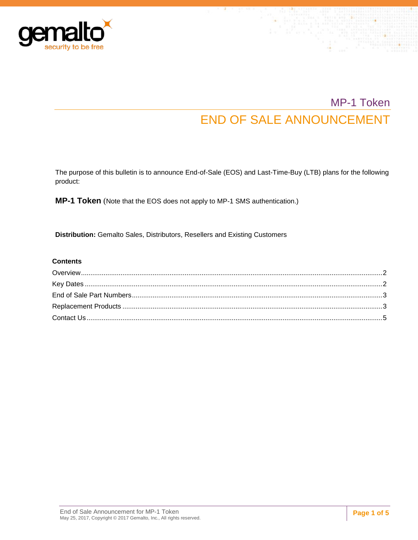

# MP-1 Token END OF SALE ANNOUNCEMENT

The purpose of this bulletin is to announce End-of-Sale (EOS) and Last-Time-Buy (LTB) plans for the following product:

**MP-1 Token** (Note that the EOS does not apply to MP-1 SMS authentication.)

**Distribution:** Gemalto Sales, Distributors, Resellers and Existing Customers

#### **Contents**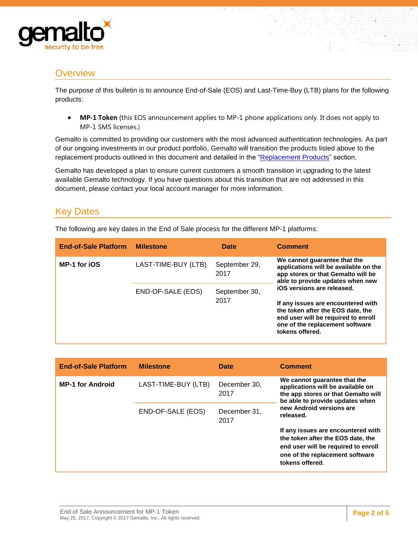

### <span id="page-1-0"></span>**Overview**

The purpose of this bulletin is to announce End-of-Sale (EOS) and Last-Time-Buy (LTB) plans for the following products:

 **MP-1 Token** (this EOS announcement applies to MP-1 phone applications only. It does not apply to MP-1 SMS licenses.)

Gemalto is committed to providing our customers with the most advanced authentication technologies. As part of our ongoing investments in our product portfolio, Gemalto will transition the products listed above to the replacement products outlined in this document and detailed in the ["Replacement Products"](#page-2-1) section.

Gemalto has developed a plan to ensure current customers a smooth transition in upgrading to the latest available Gemalto technology. If you have questions about this transition that are not addressed in this document, please contact your local account manager for more information.

# <span id="page-1-1"></span>Key Dates

The following are key dates in the End of Sale process for the different MP-1 platforms:

| <b>End-of-Sale Platform</b> | <b>Milestone</b>    | Date                  | <b>Comment</b>                                                                                                                                                                                     |
|-----------------------------|---------------------|-----------------------|----------------------------------------------------------------------------------------------------------------------------------------------------------------------------------------------------|
| <b>MP-1 for iOS</b>         | LAST-TIME-BUY (LTB) | September 29,<br>2017 | We cannot quarantee that the<br>applications will be available on the<br>app stores or that Gemalto will be<br>able to provide updates when new                                                    |
|                             | END-OF-SALE (EOS)   | September 30,<br>2017 | iOS versions are released.<br>If any issues are encountered with<br>the token after the EOS date, the<br>end user will be required to enroll<br>one of the replacement software<br>tokens offered. |

| <b>End-of-Sale Platform</b> | <b>Milestone</b>    | Date                 | <b>Comment</b>                                                                                                                                                                       |  |
|-----------------------------|---------------------|----------------------|--------------------------------------------------------------------------------------------------------------------------------------------------------------------------------------|--|
| <b>MP-1 for Android</b>     | LAST-TIME-BUY (LTB) | December 30,<br>2017 | We cannot guarantee that the<br>applications will be available on<br>the app stores or that Gemalto will<br>be able to provide updates when<br>new Android versions are<br>released. |  |
|                             | END-OF-SALE (EOS)   | December 31,<br>2017 |                                                                                                                                                                                      |  |
|                             |                     |                      | If any issues are encountered with<br>the token after the EOS date, the<br>end user will be required to enroll<br>one of the replacement software<br>tokens offered.                 |  |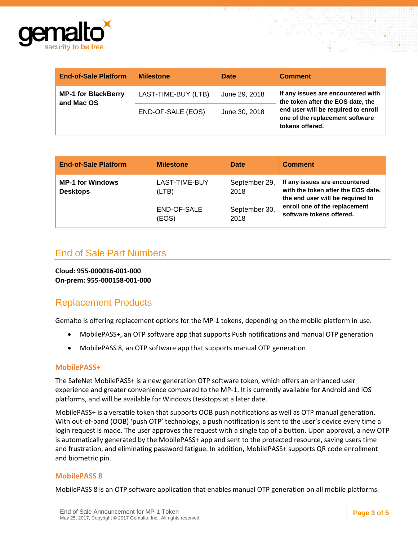

| <b>End-of-Sale Platform</b>              | <b>Milestone</b>    | <b>Date</b>   | <b>Comment</b>                                                                                                                                                       |
|------------------------------------------|---------------------|---------------|----------------------------------------------------------------------------------------------------------------------------------------------------------------------|
| <b>MP-1 for BlackBerry</b><br>and Mac OS | LAST-TIME-BUY (LTB) | June 29, 2018 | If any issues are encountered with<br>the token after the EOS date, the<br>end user will be required to enroll<br>one of the replacement software<br>tokens offered. |
|                                          | END-OF-SALE (EOS)   | June 30, 2018 |                                                                                                                                                                      |

| <b>End-of-Sale Platform</b>                | <b>Milestone</b>       | <b>Date</b>           | <b>Comment</b>                                                                                                                                                       |
|--------------------------------------------|------------------------|-----------------------|----------------------------------------------------------------------------------------------------------------------------------------------------------------------|
| <b>MP-1 for Windows</b><br><b>Desktops</b> | LAST-TIME-BUY<br>(LTB) | September 29,<br>2018 | If any issues are encountered<br>with the token after the EOS date,<br>the end user will be required to<br>enroll one of the replacement<br>software tokens offered. |
|                                            | END-OF-SALE<br>(EOS)   | September 30,<br>2018 |                                                                                                                                                                      |

# <span id="page-2-0"></span>End of Sale Part Numbers

**Cloud: 955-000016-001-000 On-prem: 955-000158-001-000**

# <span id="page-2-1"></span>Replacement Products

Gemalto is offering replacement options for the MP-1 tokens, depending on the mobile platform in use.

- MobilePASS+, an OTP software app that supports Push notifications and manual OTP generation
- MobilePASS 8, an OTP software app that supports manual OTP generation

#### **MobilePASS+**

The SafeNet MobilePASS+ is a new generation OTP software token, which offers an enhanced user experience and greater convenience compared to the MP-1. It is currently available for Android and iOS platforms, and will be available for Windows Desktops at a later date.

MobilePASS+ is a versatile token that supports OOB push notifications as well as OTP manual generation. With out-of-band (OOB) 'push OTP' technology, a push notification is sent to the user's device every time a login request is made. The user approves the request with a single tap of a button. Upon approval, a new OTP is automatically generated by the MobilePASS+ app and sent to the protected resource, saving users time and frustration, and eliminating password fatigue. In addition, MobilePASS+ supports QR code enrollment and biometric pin.

#### **MobilePASS 8**

MobilePASS 8 is an OTP software application that enables manual OTP generation on all mobile platforms.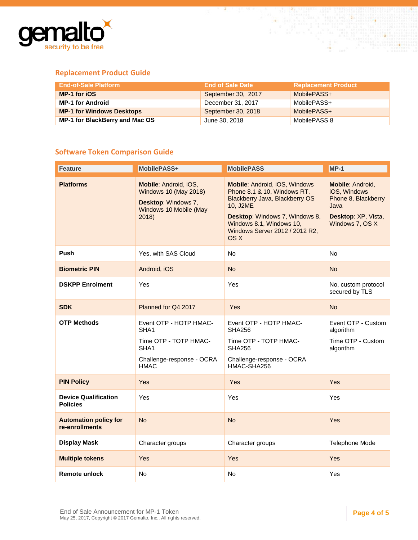

### **Replacement Product Guide**

| <b>End-of-Sale Platform</b>      | <b>End of Sale Date</b> | <b>Replacement Product</b> |
|----------------------------------|-------------------------|----------------------------|
| MP-1 for iOS                     | September 30, 2017      | MobilePASS+                |
| <b>MP-1 for Android</b>          | December 31, 2017       | MobilePASS+                |
| <b>MP-1 for Windows Desktops</b> | September 30, 2018      | MobilePASS+                |
| MP-1 for BlackBerry and Mac OS   | June 30, 2018           | MobilePASS 8               |

### **Software Token Comparison Guide**

| <b>Feature</b>                                 | MobilePASS+                                                                                                             | <b>MobilePASS</b>                                                                                                                                                                                                         | $MP-1$                                                                                                           |
|------------------------------------------------|-------------------------------------------------------------------------------------------------------------------------|---------------------------------------------------------------------------------------------------------------------------------------------------------------------------------------------------------------------------|------------------------------------------------------------------------------------------------------------------|
| <b>Platforms</b>                               | Mobile: Android, iOS,<br><b>Windows 10 (May 2018)</b><br>Desktop: Windows 7,<br>Windows 10 Mobile (May<br>2018          | <b>Mobile: Android, iOS, Windows</b><br>Phone 8.1 & 10, Windows RT,<br>Blackberry Java, Blackberry OS<br>10, J2ME<br>Desktop: Windows 7, Windows 8,<br>Windows 8.1, Windows 10,<br>Windows Server 2012 / 2012 R2,<br>OS X | <b>Mobile: Android,</b><br>iOS, Windows<br>Phone 8, Blackberry<br>Java<br>Desktop: XP, Vista,<br>Windows 7, OS X |
| Push                                           | Yes, with SAS Cloud                                                                                                     | No                                                                                                                                                                                                                        | No                                                                                                               |
| <b>Biometric PIN</b>                           | Android, iOS                                                                                                            | <b>No</b>                                                                                                                                                                                                                 | <b>No</b>                                                                                                        |
| <b>DSKPP Enrolment</b>                         | Yes                                                                                                                     | Yes                                                                                                                                                                                                                       | No, custom protocol<br>secured by TLS                                                                            |
| <b>SDK</b>                                     | Planned for Q4 2017                                                                                                     | Yes                                                                                                                                                                                                                       | <b>No</b>                                                                                                        |
| <b>OTP Methods</b>                             | Event OTP - HOTP HMAC-<br>SHA <sub>1</sub><br>Time OTP - TOTP HMAC-<br>SHA1<br>Challenge-response - OCRA<br><b>HMAC</b> | Event OTP - HOTP HMAC-<br><b>SHA256</b><br>Time OTP - TOTP HMAC-<br><b>SHA256</b><br>Challenge-response - OCRA<br>HMAC-SHA256                                                                                             | Event OTP - Custom<br>algorithm<br>Time OTP - Custom<br>algorithm                                                |
| <b>PIN Policy</b>                              | Yes                                                                                                                     | Yes                                                                                                                                                                                                                       | Yes                                                                                                              |
| <b>Device Qualification</b><br><b>Policies</b> | Yes                                                                                                                     | Yes                                                                                                                                                                                                                       | Yes                                                                                                              |
| <b>Automation policy for</b><br>re-enrollments | <b>No</b>                                                                                                               | <b>No</b>                                                                                                                                                                                                                 | Yes                                                                                                              |
| <b>Display Mask</b>                            | Character groups                                                                                                        | Character groups                                                                                                                                                                                                          | <b>Telephone Mode</b>                                                                                            |
| <b>Multiple tokens</b>                         | Yes                                                                                                                     | <b>Yes</b>                                                                                                                                                                                                                | Yes                                                                                                              |
| <b>Remote unlock</b>                           | No                                                                                                                      | No                                                                                                                                                                                                                        | Yes                                                                                                              |